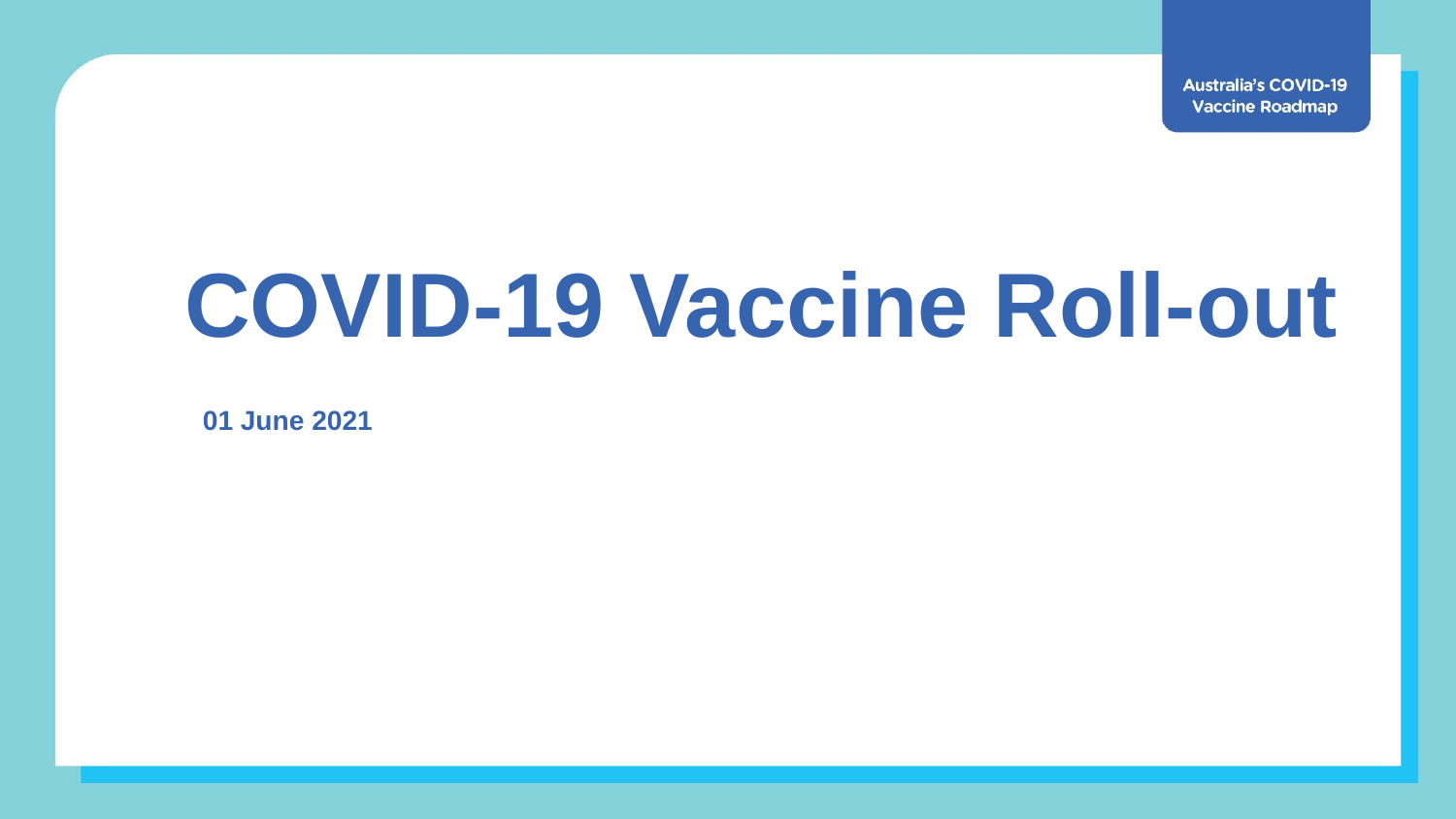**Australia's COVID-19 Vaccine Roadmap** 

## **COVID-19 Vaccine Roll-out**

**01 June 2021**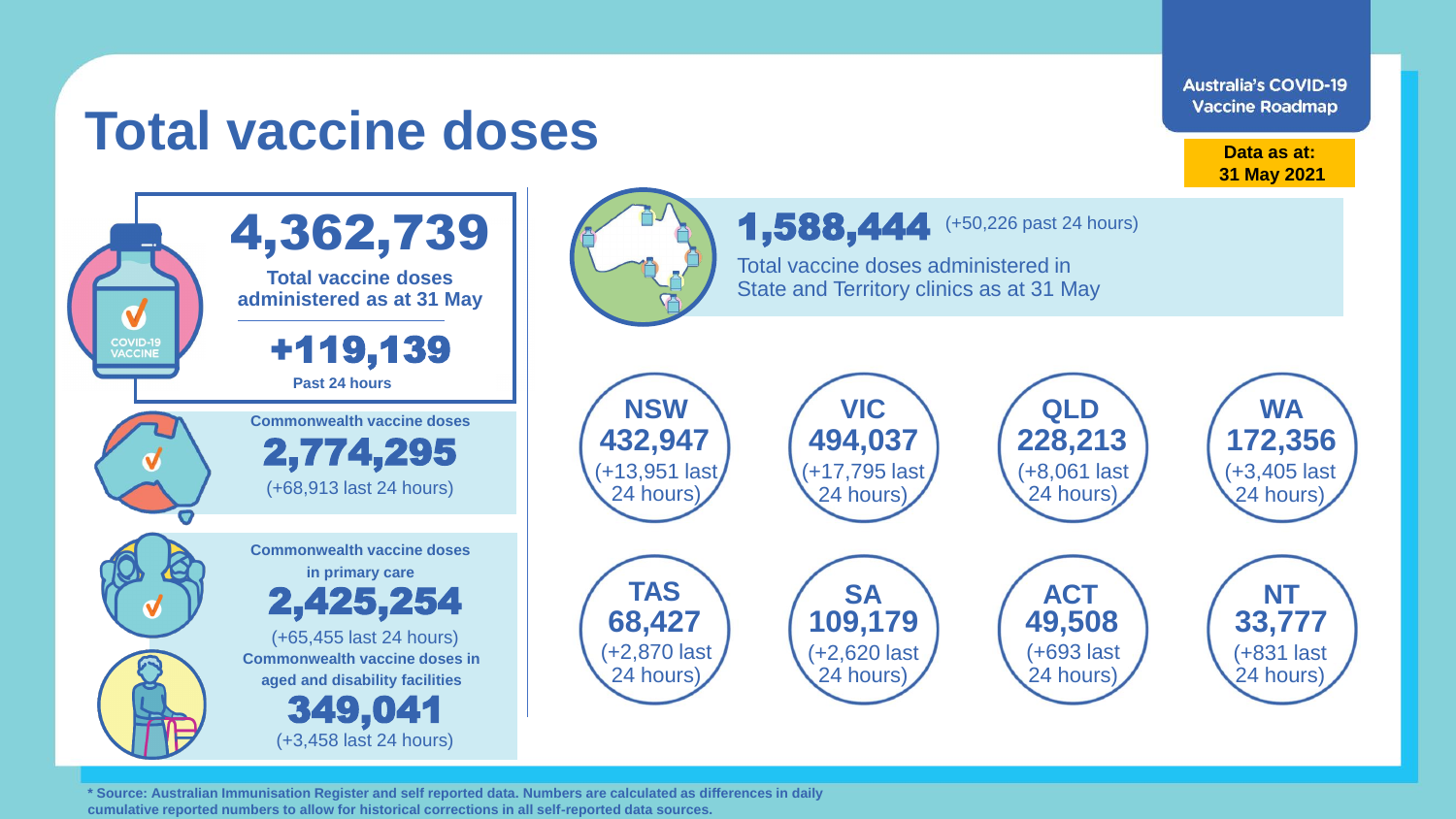**Australia's COVID-19 Vaccine Roadmap** 

## **Total vaccine doses**

**Data as at: 31 May 2021**

> (+3,405 last 24 hours)

(+831 last 24 hours)



**\* Source: Australian Immunisation Register and self reported data. Numbers are calculated as differences in daily cumulative reported numbers to allow for historical corrections in all self-reported data sources.**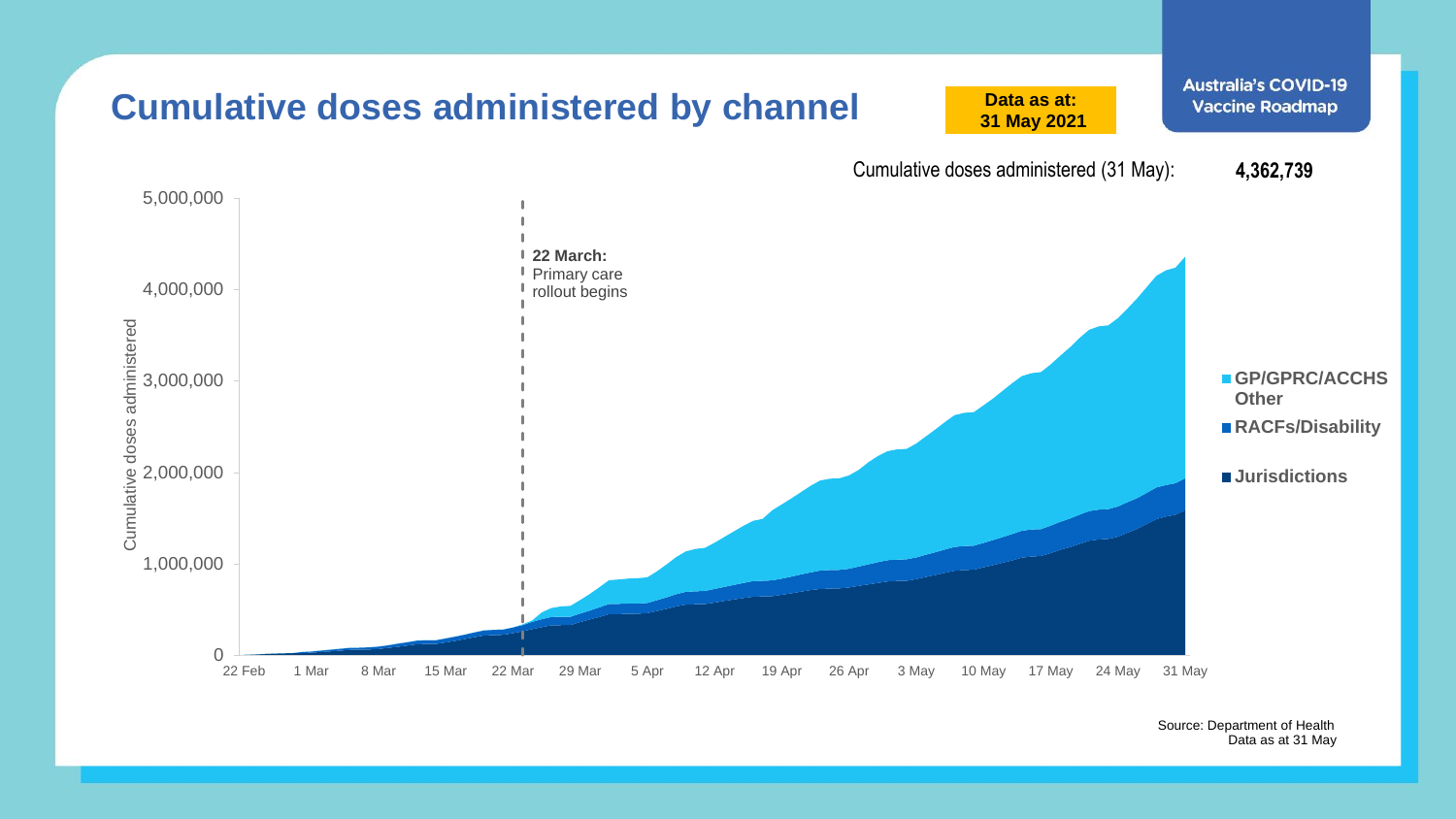

Source: Department of Health Data as at 31 May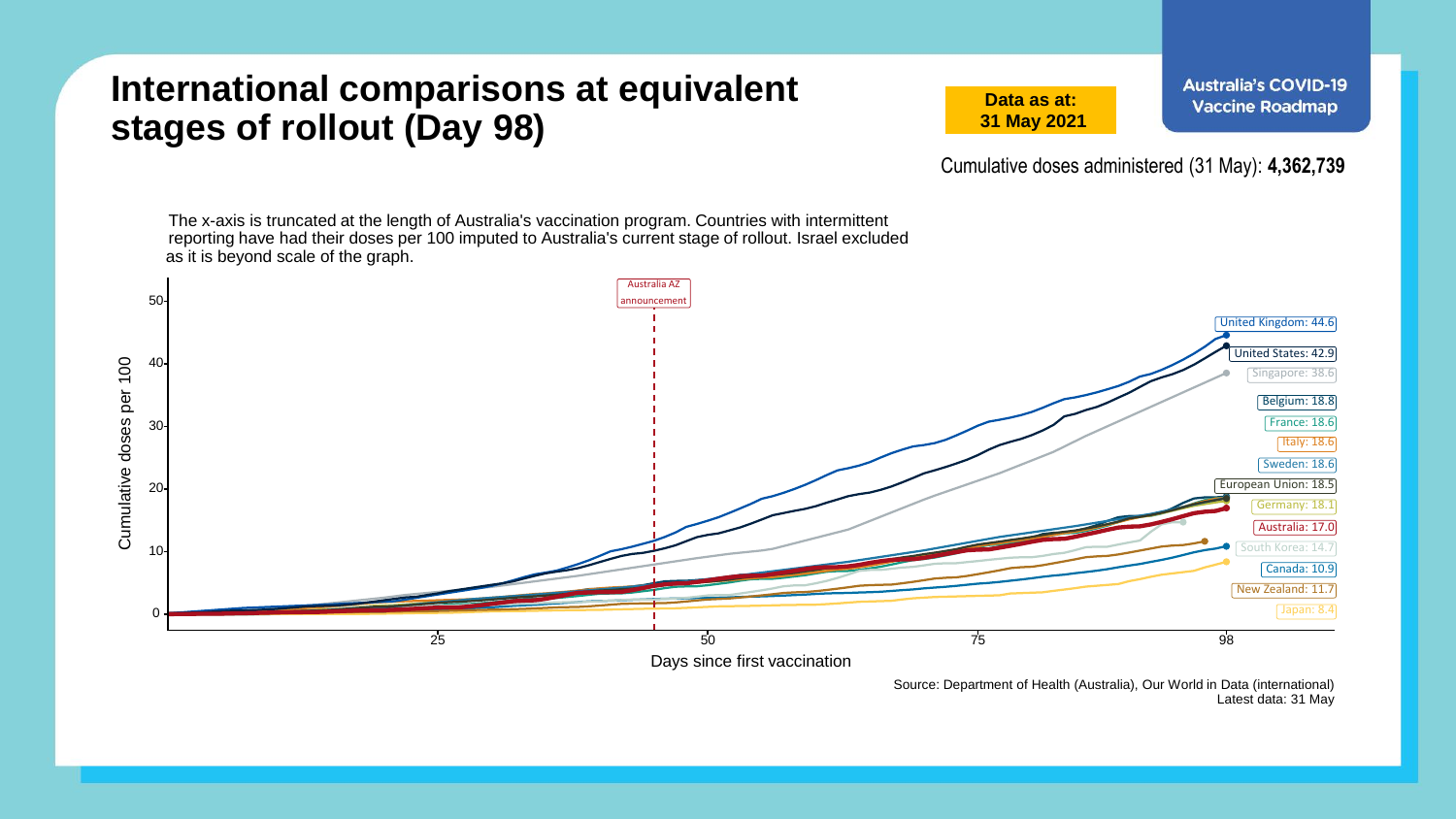## **International comparisons at equivalent stages of rollout (Day 98)**

**Data as at: 31 May 2021** **Australia's COVID-19 Vaccine Roadmap** 

Cumulative doses administered (31 May): **4,362,739**

Australia AZ The x-axis is truncated at the length of Australia's vaccination program. Countries with intermittent reporting have had their doses per 100 imputed to Australia's current stage of rollout. Israel excluded as it is beyond scale of the graph.



Source: Department of Health (Australia), Our World in Data (international) Latest data: 31 May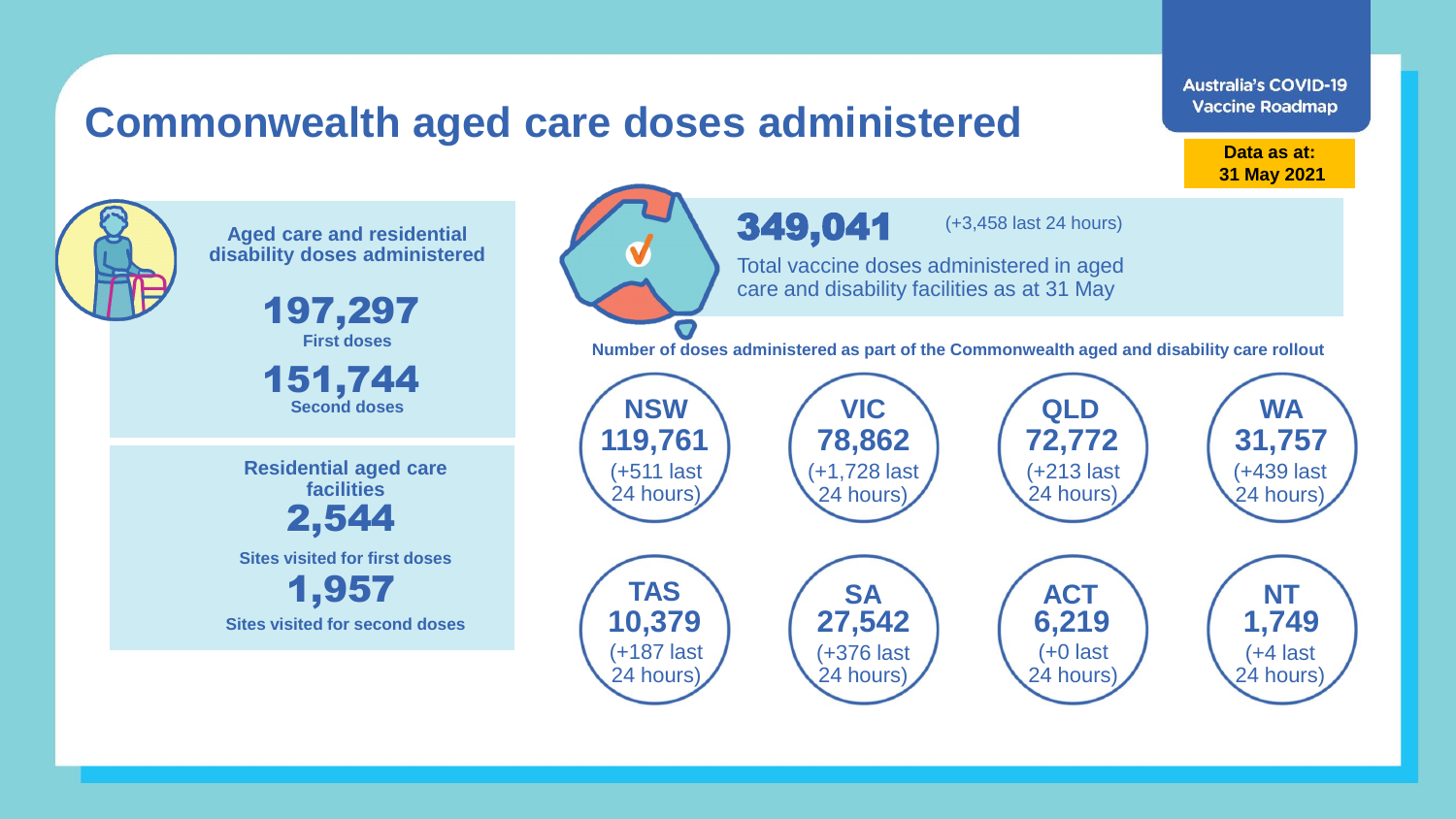## **Commonwealth aged care doses administered**

**Data as at: Data as at: 18 Apr 2021 31 May 2021**